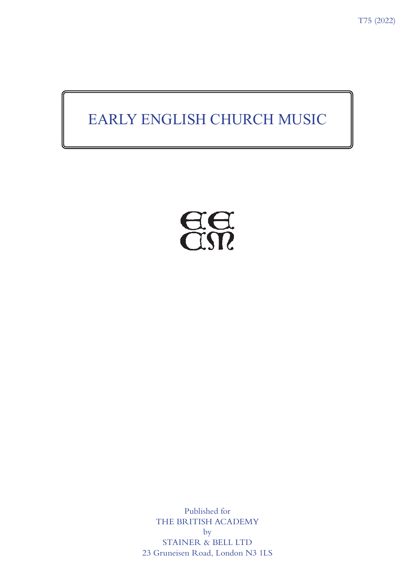# EARLY ENGLISH CHURCH MUSIC



Published for THE BRITISH ACADEMY by STAINER & BELL LTD 23 Gruneisen Road, London N3 1LS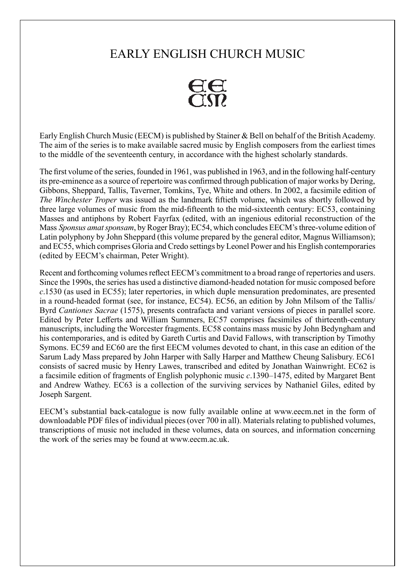## EARLY ENGLISH CHURCH MUSIC



Early English Church Music (EECM) is published by Stainer & Bell on behalf of the British Academy. The aim of the series is to make available sacred music by English composers from the earliest times to the middle of the seventeenth century, in accordance with the highest scholarly standards.

The first volume of the series, founded in 1961, was published in 1963, and in the following half-century its pre-eminence as a source of repertoire was confirmed through publication of major works by Dering, Gibbons, Sheppard, Tallis, Taverner, Tomkins, Tye, White and others. In 2002, a facsimile edition of *The Winchester Troper* was issued as the landmark fiftieth volume, which was shortly followed by three large volumes of music from the mid-fifteenth to the mid-sixteenth century: EC53, containing Masses and antiphons by Robert Fayrfax (edited, with an ingenious editorial reconstruction of the Mass *Sponsus amat sponsam*, by Roger Bray); EC54, which concludes EECM's three-volume edition of Latin polyphony by John Sheppard (this volume prepared by the general editor, Magnus Williamson); and EC55, which comprises Gloria and Credo settings by Leonel Power and his English contemporaries (edited by EECM's chairman, Peter Wright).

Recent and forthcoming volumes reflect EECM's commitment to a broad range of repertories and users. Since the 1990s, the series has used a distinctive diamond-headed notation for music composed before *c*.1530 (as used in EC55); later repertories, in which duple mensuration predominates, are presented in a round-headed format (see, for instance, EC54). EC56, an edition by John Milsom of the Tallis/ Byrd *Cantiones Sacrae* (1575), presents contrafacta and variant versions of pieces in parallel score. Edited by Peter Lefferts and William Summers, EC57 comprises facsimiles of thirteenth-century manuscripts, including the Worcester fragments. EC58 contains mass music by John Bedyngham and his contemporaries, and is edited by Gareth Curtis and David Fallows, with transcription by Timothy Symons. EC59 and EC60 are the first EECM volumes devoted to chant, in this case an edition of the Sarum Lady Mass prepared by John Harper with Sally Harper and Matthew Cheung Salisbury. EC61 consists of sacred music by Henry Lawes, transcribed and edited by Jonathan Wainwright. EC62 is a facsimile edition of fragments of English polyphonic music *c*.1390–1475, edited by Margaret Bent and Andrew Wathey. EC63 is a collection of the surviving services by Nathaniel Giles, edited by Joseph Sargent.

EECM's substantial back-catalogue is now fully available online at www.eecm.net in the form of downloadable PDF files of individual pieces (over 700 in all). Materials relating to published volumes, transcriptions of music not included in these volumes, data on sources, and information concerning the work of the series may be found at www.eecm.ac.uk.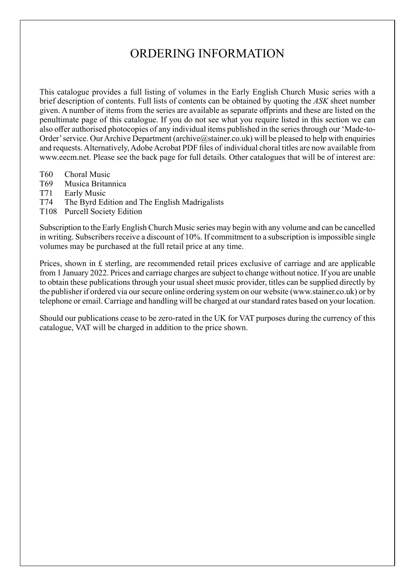## ORDERING INFORMATION

This catalogue provides a full listing of volumes in the Early English Church Music series with a brief description of contents. Full lists of contents can be obtained by quoting the *ASK* sheet number given. A number of items from the series are available as separate offprints and these are listed on the penultimate page of this catalogue. If you do not see what you require listed in this section we can also offer authorised photocopies of any individual items published in the series through our 'Made-to-Order' service. Our Archive Department (archive  $\omega$ stainer.co.uk) will be pleased to help with enquiries and requests. Alternatively, Adobe Acrobat PDF files of individual choral titles are now available from www.eecm.net. Please see the back page for full details. Other catalogues that will be of interest are:

- T60 Choral Music
- T69 Musica Britannica
- T71 Early Music
- T74 The Byrd Edition and The English Madrigalists
- T108 Purcell Society Edition

Subscription to the Early English Church Music series may begin with any volume and can be cancelled in writing. Subscribers receive a discount of 10%. If commitment to a subscription is impossible single volumes may be purchased at the full retail price at any time.

Prices, shown in £ sterling, are recommended retail prices exclusive of carriage and are applicable from 1 January 2022. Prices and carriage charges are subject to change without notice. If you are unable to obtain these publications through your usual sheet music provider, titles can be supplied directly by the publisher if ordered via our secure online ordering system on our website (www.stainer.co.uk) or by telephone or email. Carriage and handling will be charged at our standard rates based on your location.

Should our publications cease to be zero-rated in the UK for VAT purposes during the currency of this catalogue, VAT will be charged in addition to the price shown.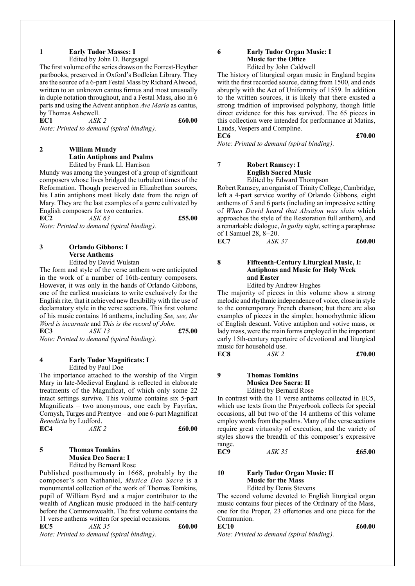#### **1 Early Tudor Masses: I**

Edited by John D. Bergsagel

The first volume of the series draws on the Forrest-Heyther partbooks, preserved in Oxford's Bodleian Library. They are the source of a 6-part Festal Mass by Richard Alwood, written to an unknown cantus firmus and most unusually in duple notation throughout, and a Festal Mass, also in 6 parts and using the Advent antiphon *Ave Maria* as cantus, by Thomas Ashewell.

**EC1** *ASK 2* **£60.00**

*Note: Printed to demand (spiral binding).*

#### **2 William Mundy Latin Antiphons and Psalms** Edited by Frank Ll. Harrison

Mundy was among the youngest of a group of significant composers whose lives bridged the turbulent times of the Reformation. Though preserved in Elizabethan sources, his Latin antiphons most likely date from the reign of Mary. They are the last examples of a genre cultivated by English composers for two centuries.

**EC2** *ASK 63* **£55.00** *Note: Printed to demand (spiral binding).*

## **3 Orlando Gibbons: I Verse Anthems**

Edited by David Wulstan

The form and style of the verse anthem were anticipated in the work of a number of 16th-century composers. However, it was only in the hands of Orlando Gibbons, one of the earliest musicians to write exclusively for the English rite, that it achieved new flexibility with the use of declamatory style in the verse sections. This first volume of his music contains 16 anthems, including *See, see, the Word is incarnate* and *This is the record of John*. **EC3** *ASK 13* **£75.00** 

*Note: Printed to demand (spiral binding).*

#### **4 Early Tudor Magnificats: I** Edited by Paul Doe

The importance attached to the worship of the Virgin Mary in late-Medieval England is reflected in elaborate treatments of the Magnificat, of which only some 22 intact settings survive. This volume contains six 5-part Magnificats – two anonymous, one each by Fayrfax, Cornysh, Turges and Prentyce – and one 6-part Magnificat *Benedicta* by Ludford. **EC4** *ASK 2* **£60.00**

## **5 Thomas Tomkins Musica Deo Sacra: I**

Edited by Bernard Rose

Published posthumously in 1668, probably by the composer's son Nathaniel, *Musica Deo Sacra* is a monumental collection of the work of Thomas Tomkins, pupil of William Byrd and a major contributor to the wealth of Anglican music produced in the half-century before the Commonwealth. The first volume contains the 11 verse anthems written for special occasions.

**EC5** *ASK 35* **£60.00**  *Note: Printed to demand (spiral binding).*

#### **6 Early Tudor Organ Music: I Music for the Office** Edited by John Caldwell

The history of liturgical organ music in England begins with the first recorded source, dating from 1500, and ends abruptly with the Act of Uniformity of 1559. In addition to the written sources, it is likely that there existed a strong tradition of improvised polyphony, though little direct evidence for this has survived. The 65 pieces in this collection were intended for performance at Matins, Lauds, Vespers and Compline.

**EC6 £70.00** *Note: Printed to demand (spiral binding).*

#### **7 Robert Ramsey: I English Sacred Music** Edited by Edward Thompson

Robert Ramsey, an organist of Trinity College, Cambridge, left a 4-part service worthy of Orlando Gibbons, eight anthems of 5 and 6 parts (including an impressive setting of *When David heard that Absalon was slain* which approaches the style of the Restoration full anthem), and a remarkable dialogue, *In guilty night*, setting a paraphrase of I Samuel 28, 8–20.

**EC7** *ASK 37* **£60.00**

**8 Fifteenth-Century Liturgical Music, I: Antiphons and Music for Holy Week and Easter**

Edited by Andrew Hughes

The majority of pieces in this volume show a strong melodic and rhythmic independence of voice, close in style to the contemporary French chanson; but there are also examples of pieces in the simpler, homorhythmic idiom of English descant. Votive antiphon and votive mass, or lady mass, were the main forms employed in the important early 15th-century repertoire of devotional and liturgical music for household use.<br> **EC8**  $\angle$  *ASK 2* 

**EC8** *ASK 2* **£70.00**

**9 Thomas Tomkins Musica Deo Sacra: II** Edited by Bernard Rose

In contrast with the 11 verse anthems collected in EC5, which use texts from the Prayerbook collects for special occasions, all but two of the 14 anthems of this volume employ words from the psalms. Many of the verse sections require great virtuosity of execution, and the variety of styles shows the breadth of this composer's expressive range.

**EC9** *ASK 35* **£65.00**

#### **10 Early Tudor Organ Music: II Music for the Mass** Edited by Denis Stevens

The second volume devoted to English liturgical organ music contains four pieces of the Ordinary of the Mass,

one for the Proper, 23 offertories and one piece for the Communion. **EC10 £60.00** 

*Note: Printed to demand (spiral binding).*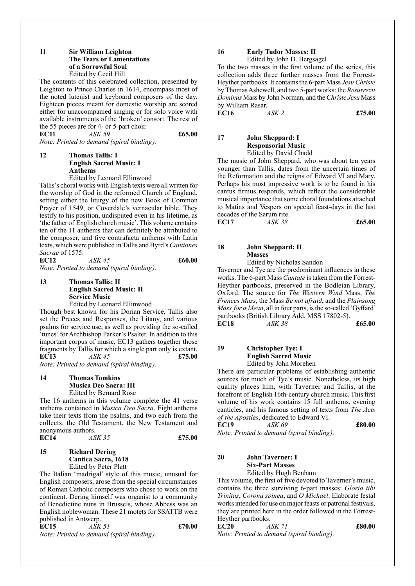#### **11 Sir William Leighton The Tears or Lamentations of a Sorrowful Soul** Edited by Cecil Hill

The contents of this celebrated collection, presented by Leighton to Prince Charles in 1614, encompass most of the noted lutenist and keyboard composers of the day. Eighteen pieces meant for domestic worship are scored either for unaccompanied singing or for solo voice with available instruments of the 'broken' consort. The rest of the 55 pieces are for 4- or 5-part choir. **EC11** *ASK 59* **£65.00**

*Note: Printed to demand (spiral binding).*

#### **12 Thomas Tallis: I English Sacred Music: I Anthems**

Edited by Leonard Ellinwood

Tallis's choral works with English texts were all written for the worship of God in the reformed Church of England, setting either the liturgy of the new Book of Common Prayer of 1549, or Coverdale's vernacular bible. They testify to his position, undisputed even in his lifetime, as 'the father of English church music'. This volume contains ten of the 11 anthems that can definitely be attributed to the composer, and five contrafacta anthems with Latin texts, which were published in Tallis and Byrd's *Cantiones Sacrae* of 1575.

**EC12** *ASK 45* **£60.00** *Note: Printed to demand (spiral binding).*

#### **13 Thomas Tallis: II English Sacred Music: II Service Music**

Edited by Leonard Ellinwood

Though best known for his Dorian Service, Tallis also set the Preces and Responses, the Litany, and various psalms for service use, as well as providing the so-called 'tunes' for Archbishop Parker's Psalter. In addition to this important corpus of music, EC13 gathers together those fragments by Tallis for which a single part only is extant. **EC13** *ASK 45* **£75.00**

*Note: Printed to demand (spiral binding).*

### **14 Thomas Tomkins Musica Deo Sacra: III**

Edited by Bernard Rose

The 16 anthems in this volume complete the 41 verse anthems contained in *Musica Deo Sacra*. Eight anthems take their texts from the psalms, and two each from the collects, the Old Testament, the New Testament and anonymous authors.

| <b>EC14</b> | ASK 35 | £75.00 |
|-------------|--------|--------|
|             |        |        |

#### **15 Richard Dering Cantica Sacra, 1618** Edited by Peter Platt

The Italian 'madrigal' style of this music, unusual for English composers, arose from the special circumstances of Roman Catholic composers who chose to work on the continent. Dering himself was organist to a community of Benedictine nuns in Brussels, whose Abbess was an English noblewoman. These 21 motets for SSATTB were published in Antwerp.

**EC15** *ASK 51* **£70.00** *Note: Printed to demand (spiral binding).*

## **16 Early Tudor Masses: II**

Edited by John D. Bergsagel

To the two masses in the first volume of the series, this collection adds three further masses from the Forrest-Heyther partbooks. It contains the 6-part Mass *Jesu Christe* by Thomas Ashewell, and two 5-part works: the *Resurrexit Dominus* Mass by John Norman, and the *Christe Jesu* Mass by William Rasar.

**EC16** *ASK 2* **£75.00**

#### **17 John Sheppard: I Responsorial Music** Edited by David Chadd

The music of John Sheppard, who was about ten years younger than Tallis, dates from the uncertain times of the Reformation and the reigns of Edward VI and Mary. Perhaps his most impressive work is to be found in his cantus firmus responds, which reflect the considerable musical importance that some choral foundations attached to Matins and Vespers on special feast-days in the last decades of the Sarum rite.

| <b>EC17</b> | ASK 38 | £65.00 |
|-------------|--------|--------|

**18 John Sheppard: II Masses**

Edited by Nicholas Sandon

Taverner and Tye are the predominant influences in these works. The 6-part Mass *Cantate* is taken from the Forrest-Heyther partbooks, preserved in the Bodleian Library, Oxford. The source for *The Western Wind* Mass, *The Frences Mass*, the Mass *Be not afraid*, and the *Plainsong Mass for a Mean*, all in four parts, is the so-called 'Gyffard' partbooks (British Library Add. MSS 17802-5). **EC18** *ASK 38* **£65.00**

**19 Christopher Tye: I English Sacred Music** Edited by John Morehen

There are particular problems of establishing authentic sources for much of Tye's music. Nonetheless, its high quality places him, with Taverner and Tallis, at the forefront of English 16th-century church music. This first volume of his work contains 15 full anthems, evening canticles, and his famous setting of texts from *The Acts of the Apostles*, dedicated to Edward VI.

**EC19** *ASK 69* **£80.00** *Note: Printed to demand (spiral binding).*

**20 John Taverner: I Six-Part Masses**

Edited by Hugh Benham

This volume, the first of five devoted to Taverner's music, contains the three surviving 6-part masses: *Gloria tibi Trinitas*, *Corona spinea*, and *O Michael*. Elaborate festal works intended for use on major feasts or patronal festivals, they are printed here in the order followed in the Forrest-Heyther partbooks.

**EC20** *ASK 71* **£80.00** *Note: Printed to demand (spiral binding).*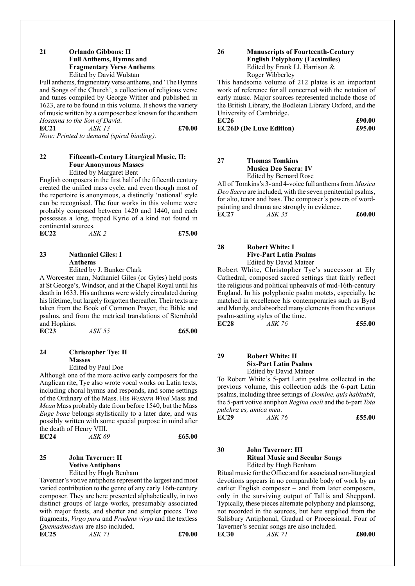#### **21 Orlando Gibbons: II Full Anthems, Hymns and Fragmentary Verse Anthems** Edited by David Wulstan

Full anthems, fragmentary verse anthems, and 'The Hymns and Songs of the Church', a collection of religious verse and tunes compiled by George Wither and published in 1623, are to be found in this volume. It shows the variety of music written by a composer best known for the anthem *Hosanna to the Son of David*.

**EC21** *ASK 13* **£70.00** *Note: Printed to demand (spiral binding).*

#### **22 Fifteenth-Century Liturgical Music, II: Four Anonymous Masses** Edited by Margaret Bent

English composers in the first half of the fifteenth century created the unified mass cycle, and even though most of the repertoire is anonymous, a distinctly 'national' style can be recognised. The four works in this volume were probably composed between 1420 and 1440, and each possesses a long, troped Kyrie of a kind not found in continental sources.

| EC22 | ASK 2 | £75.00 |
|------|-------|--------|
|      |       |        |

### **23 Nathaniel Giles: I Anthems**

Edited by J. Bunker Clark

A Worcester man, Nathaniel Giles (or Gyles) held posts at St George's, Windsor, and at the Chapel Royal until his death in 1633. His anthems were widely circulated during his lifetime, but largely forgotten thereafter. Their texts are taken from the Book of Common Prayer, the Bible and psalms, and from the metrical translations of Sternhold and Hopkins.

**EC23** *ASK 55* **£65.00**

#### **24 Christopher Tye: II Masses**

Edited by Paul Doe

Although one of the more active early composers for the Anglican rite, Tye also wrote vocal works on Latin texts, including choral hymns and responds, and some settings of the Ordinary of the Mass. His *Western Wind* Mass and *Mean* Mass probably date from before 1540, but the Mass *Euge bone* belongs stylistically to a later date, and was possibly written with some special purpose in mind after the death of Henry VIII.

| EC24 | ASK 69 | £65.00 |
|------|--------|--------|
|      |        |        |

### **25 John Taverner: II Votive Antiphons**

Edited by Hugh Benham

Taverner's votive antiphons represent the largest and most varied contribution to the genre of any early 16th-century composer. They are here presented alphabetically, in two distinct groups of large works, presumably associated with major feasts, and shorter and simpler pieces. Two fragments, *Virgo pura* and *Prudens virgo* and the textless *Quemadmodum* are also included.<br>**EC25** *ASK 71* **EC25** *ASK 71* **£70.00**

#### **26 Manuscripts of Fourteenth-Century English Polyphony (Facsimiles)** Edited by Frank Ll. Harrison & Roger Wibberley

This handsome volume of 212 plates is an important work of reference for all concerned with the notation of early music. Major sources represented include those of the British Library, the Bodleian Library Oxford, and the University of Cambridge.

**EC26 £90.00 EC26D (De Luxe Edition) £95.00**

**27 Thomas Tomkins Musica Deo Sacra: IV** Edited by Bernard Rose

All of Tomkins's 3- and 4-voice full anthems from *Musica Deo Sacra* are included, with the seven penitential psalms, for alto, tenor and bass. The composer's powers of wordpainting and drama are strongly in evidence.

**EC27** *ASK 35* **£60.00**

**28 Robert White: I Five-Part Latin Psalms** Edited by David Mateer

Robert White, Christopher Tye's successor at Ely Cathedral, composed sacred settings that fairly reflect the religious and political upheavals of mid-16th-century England. In his polyphonic psalm motets, especially, he matched in excellence his contemporaries such as Byrd and Mundy, and absorbed many elements from the various psalm-setting styles of the time.

**EC28** *ASK 76* **£55.00**

**29 Robert White: II Six-Part Latin Psalms** Edited by David Mateer

To Robert White's 5-part Latin psalms collected in the previous volume, this collection adds the 6-part Latin psalms, including three settings of *Domine, quis habitabit*, the 5-part votive antiphon *Regina caeli* and the 6-part *Tota pulchra es, amica mea*.

| <b>EC29</b> | ASK 76 | £55.00 |
|-------------|--------|--------|
|             |        |        |

#### **30 John Taverner: III Ritual Music and Secular Songs** Edited by Hugh Benham

Ritual music for the Office and for associated non-liturgical devotions appears in no comparable body of work by an earlier English composer – and from later composers, only in the surviving output of Tallis and Sheppard. Typically, these pieces alternate polyphony and plainsong, not recorded in the sources, but here supplied from the Salisbury Antiphonal, Gradual or Processional. Four of Taverner's secular songs are also included. **EC30** *ASK 71* **£80.00**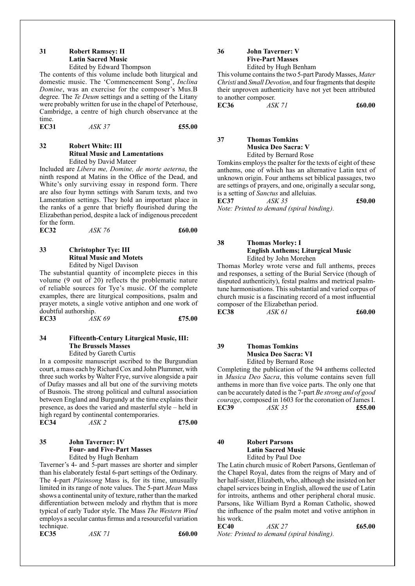#### **31 Robert Ramsey: II Latin Sacred Music** Edited by Edward Thompson

The contents of this volume include both liturgical and domestic music. The 'Commencement Song', *Inclina Domine*, was an exercise for the composer's Mus.B degree. The *Te Deum* settings and a setting of the Litany were probably written for use in the chapel of Peterhouse, Cambridge, a centre of high church observance at the time.

**EC31** *ASK 37* **£55.00**

#### **32 Robert White: III Ritual Music and Lamentations** Edited by David Mateer

Included are *Libera me, Domine, de morte aeterna*, the ninth respond at Matins in the Office of the Dead, and White's only surviving essay in respond form. There are also four hymn settings with Sarum texts, and two Lamentation settings. They hold an important place in the ranks of a genre that briefly flourished during the Elizabethan period, despite a lack of indigenous precedent for the form.

**EC32** *ASK 76* **£60.00**

#### **33 Christopher Tye: III Ritual Music and Motets** Edited by Nigel Davison

The substantial quantity of incomplete pieces in this volume (9 out of 20) reflects the problematic nature of reliable sources for Tye's music. Of the complete examples, there are liturgical compositions, psalm and prayer motets, a single votive antiphon and one work of doubtful authorship. **EC33** *ASK 69* **£75.00**

#### **34 Fifteenth-Century Liturgical Music, III: The Brussels Masses**

Edited by Gareth Curtis

In a composite manuscript ascribed to the Burgundian court, a mass each by Richard Cox and John Plummer, with three such works by Walter Frye, survive alongside a pair of Dufay masses and all but one of the surviving motets of Busnois. The strong political and cultural association between England and Burgundy at the time explains their presence, as does the varied and masterful style – held in high regard by continental contemporaries.<br>EC34 ASK 2

**EC34** *ASK 2* **£75.00**

#### **35 John Taverner: IV Four- and Five-Part Masses** Edited by Hugh Benham

Taverner's 4- and 5-part masses are shorter and simpler than his elaborately festal 6-part settings of the Ordinary. The 4-part *Plainsong* Mass is, for its time, unusually limited in its range of note values. The 5-part *Mean* Mass shows a continental unity of texture, rather than the marked differentiation between melody and rhythm that is more typical of early Tudor style. The Mass *The Western Wind* employs a secular cantus firmus and a resourceful variation technique. **EC35** *ASK 71* **£60.00**

**36 John Taverner: V Five-Part Masses** Edited by Hugh Benham

This volume contains the two 5-part Parody Masses, *Mater Christi* and *Small Devotion*, and four fragments that despite their unproven authenticity have not yet been attributed to another composer.

**EC36** *ASK 71* **£60.00**

#### **37 Thomas Tomkins Musica Deo Sacra: V** Edited by Bernard Rose

Tomkins employs the psalter for the texts of eight of these anthems, one of which has an alternative Latin text of unknown origin. Four anthems set biblical passages, two are settings of prayers, and one, originally a secular song, is a setting of *Sanctus* and alleluias.

**EC37** *ASK 35* **£50.00** *Note: Printed to demand (spiral binding).*

**38 Thomas Morley: I English Anthems; Liturgical Music** Edited by John Morehen

Thomas Morley wrote verse and full anthems, preces and responses, a setting of the Burial Service (though of disputed authenticity), festal psalms and metrical psalmtune harmonisations. This substantial and varied corpus of church music is a fascinating record of a most influential composer of the Elizabethan period. **EC38** *ASK 61* **£60.00**

**39 Thomas Tomkins Musica Deo Sacra: VI** Edited by Bernard Rose

Completing the publication of the 94 anthems collected in *Musica Deo Sacra*, this volume contains seven full anthems in more than five voice parts. The only one that can be accurately dated is the 7-part *Be strong and of good courage*, composed in 1603 for the coronation of James I. **EC39** *ASK 35* **£55.00**

**40 Robert Parsons Latin Sacred Music** Edited by Paul Doe

The Latin church music of Robert Parsons, Gentleman of the Chapel Royal, dates from the reigns of Mary and of her half-sister, Elizabeth, who, although she insisted on her chapel services being in English, allowed the use of Latin for introits, anthems and other peripheral choral music. Parsons, like William Byrd a Roman Catholic, showed the influence of the psalm motet and votive antiphon in his work.

**EC40** *ASK 27* **£65.00** *Note: Printed to demand (spiral binding).*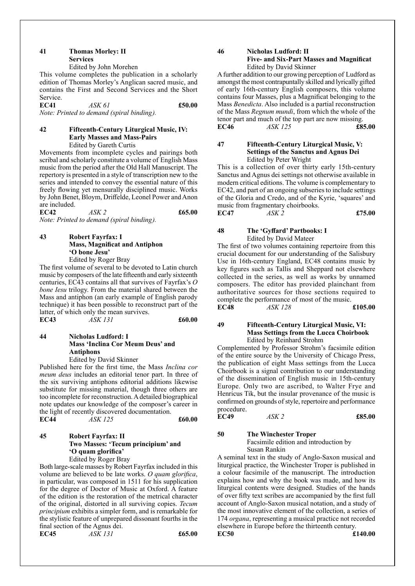#### **41 Thomas Morley: II Services** Edited by John Morehen

This volume completes the publication in a scholarly edition of Thomas Morley's Anglican sacred music, and

contains the First and Second Services and the Short Service. **EC41** *ASK 61* **£50.00**

*Note: Printed to demand (spiral binding).*

#### **42 Fifteenth-Century Liturgical Music, IV: Early Masses and Mass-Pairs** Edited by Gareth Curtis

Movements from incomplete cycles and pairings both scribal and scholarly constitute a volume of English Mass music from the period after the Old Hall Manuscript. The repertory is presented in a style of transcription new to the series and intended to convey the essential nature of this freely flowing yet mensurally disciplined music. Works by John Benet, Bloym, Driffelde, Leonel Power and Anon are included.

**EC42** *ASK 2* **£65.00** *Note: Printed to demand (spiral binding).*

#### **43 Robert Fayrfax: I Mass, Magnificat and Antiphon 'O bone Jesu'** Edited by Roger Bray

The first volume of several to be devoted to Latin church music by composers of the late fifteenth and early sixteenth centuries, EC43 contains all that survives of Fayrfax's *O bone Iesu* trilogy. From the material shared between the Mass and antiphon (an early example of English parody technique) it has been possible to reconstruct part of the latter, of which only the mean survives.

| <b>EC43</b> | <i>ASK 131</i> | £60.00 |
|-------------|----------------|--------|
|             |                |        |

#### **44 Nicholas Ludford: I Mass 'Inclina Cor Meum Deus' and Antiphons**

Edited by David Skinner

Published here for the first time, the Mass *Inclina cor meum deus* includes an editorial tenor part. In three of the six surviving antiphons editorial additions likewise substitute for missing material, though three others are too incomplete for reconstruction. A detailed biographical note updates our knowledge of the composer's career in the light of recently discovered documentation.

| <b>EC44</b> | ASK 125 | £60.00 |
|-------------|---------|--------|
|             |         |        |

#### **45 Robert Fayrfax: II Two Masses: 'Tecum principium' and 'O quam glorifica'** Edited by Roger Bray

Both large-scale masses by Robert Fayrfax included in this volume are believed to be late works. *O quam glorifica*, in particular, was composed in 1511 for his supplication for the degree of Doctor of Music at Oxford. A feature of the edition is the restoration of the metrical character of the original, distorted in all surviving copies. *Tecum principium* exhibits a simpler form, and is remarkable for the stylistic feature of unprepared dissonant fourths in the final section of the Agnus dei. **EC45** *ASK 131* **£65.00**

$$
\pmb{\text{f6:}}
$$

**46 Nicholas Ludford: II Five- and Six-Part Masses and Magnificat** Edited by David Skinner

A further addition to our growing perception of Ludford as amongst the most contrapuntally skilled and lyrically gifted of early 16th-century English composers, this volume contains four Masses, plus a Magnificat belonging to the Mass *Benedicta*. Also included is a partial reconstruction of the Mass *Regnum mundi*, from which the whole of the tenor part and much of the top part are now missing. **EC46** *ASK 125* **£85.00**

#### **47 Fifteenth-Century Liturgical Music, V: Settings of the Sanctus and Agnus Dei** Edited by Peter Wright

This is a collection of over thirty early 15th-century Sanctus and Agnus dei settings not otherwise available in modern critical editions. The volume is complementary to EC42, and part of an ongoing subseries to include settings of the Gloria and Credo, and of the Kyrie, 'squares' and music from fragmentary choirbooks.

**EC47** *ASK 2* **£75.00**

#### **48 The 'Gyffard' Partbooks: I** Edited by David Mateer

The first of two volumes containing repertoire from this crucial document for our understanding of the Salisbury Use in 16th-century England, EC48 contains music by key figures such as Tallis and Sheppard not elsewhere collected in the series, as well as works by unnamed composers. The editor has provided plainchant from authoritative sources for those sections required to complete the performance of most of the music.

**EC48** *ASK 128* **£105.00**

#### **49 Fifteenth-Century Liturgical Music, VI: Mass Settings from the Lucca Choirbook** Edited by Reinhard Strohm

Complemented by Professor Strohm's facsimile edition of the entire source by the University of Chicago Press, the publication of eight Mass settings from the Lucca Choirbook is a signal contribution to our understanding of the dissemination of English music in 15th-century Europe. Only two are ascribed, to Walter Frye and Henricus Tik, but the insular provenance of the music is confirmed on grounds of style, repertoire and performance procedure.<br>EC49

**EC49** *ASK 2* **£85.00**

#### **50 The Winchester Troper**

Facsimile edition and introduction by Susan Rankin

A seminal text in the study of Anglo-Saxon musical and liturgical practice, the Winchester Troper is published in a colour facsimile of the manuscript. The introduction explains how and why the book was made, and how its liturgical contents were designed. Studies of the hands of over fifty text scribes are accompanied by the first full account of Anglo-Saxon musical notation, and a study of the most innovative element of the collection, a series of 174 *organa*, representing a musical practice not recorded elsewhere in Europe before the thirteenth century. **EC50 £140.00**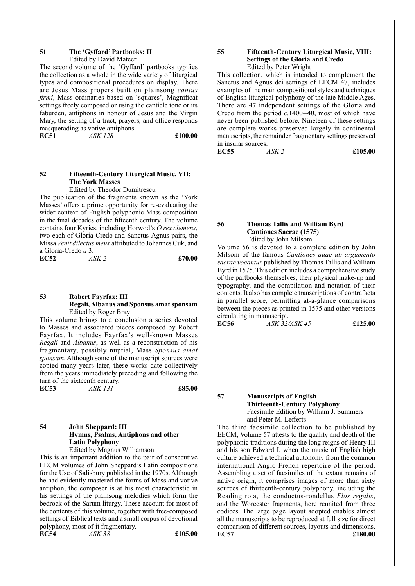#### **51 The 'Gyffard' Partbooks: II**

Edited by David Mateer

The second volume of the 'Gyffard' partbooks typifies the collection as a whole in the wide variety of liturgical types and compositional procedures on display. There are Jesus Mass propers built on plainsong *cantus firmi*, Mass ordinaries based on 'squares', Magnificat settings freely composed or using the canticle tone or its faburden, antiphons in honour of Jesus and the Virgin Mary, the setting of a tract, prayers, and office responds masquerading as votive antiphons.

**EC51** *ASK 128* **£100.00**

#### **52 Fifteenth-Century Liturgical Music, VII: The York Masses**

Edited by Theodor Dumitrescu The publication of the fragments known as the 'York Masses' offers a prime opportunity for re-evaluating the wider context of English polyphonic Mass composition in the final decades of the fifteenth century. The volume contains four Kyries, including Horwod's *O rex clemens*, two each of Gloria-Credo and Sanctus-Agnus pairs, the Missa *Venit dilectus meus* attributed to Johannes Cuk, and a Gloria-Credo *a* 3.

**EC52** *ASK 2* **£70.00**

#### **53 Robert Fayrfax: III Regali,Albanus and Sponsus amatsponsam** Edited by Roger Bray

This volume brings to a conclusion a series devoted to Masses and associated pieces composed by Robert Fayrfax. It includes Fayrfax's well-known Masses *Regali* and *Albanus*, as well as a reconstruction of his fragmentary, possibly nuptial, Mass *Sponsus amat sponsam*. Although some of the manuscript sources were copied many years later, these works date collectively from the years immediately preceding and following the turn of the sixteenth century.

**EC53** *ASK 131* **£85.00**

#### **54 John Sheppard: III Hymns, Psalms, Antiphons and other Latin Polyphony** Edited by Magnus Williamson

This is an important addition to the pair of consecutive EECM volumes of John Sheppard's Latin compositions for the Use of Salisbury published in the 1970s. Although he had evidently mastered the forms of Mass and votive antiphon, the composer is at his most characteristic in his settings of the plainsong melodies which form the bedrock of the Sarum liturgy. These account for most of the contents of this volume, together with free-composed settings of Biblical texts and a small corpus of devotional polyphony, most of it fragmentary. **EC54** *ASK 38* **£105.00**

#### **55 Fifteenth-Century Liturgical Music, VIII: Settings of the Gloria and Credo** Edited by Peter Wright

This collection, which is intended to complement the Sanctus and Agnus dei settings of EECM 47, includes examples of the main compositional styles and techniques of English liturgical polyphony of the late Middle Ages. There are 47 independent settings of the Gloria and Credo from the period *c*.1400–40, most of which have never been published before. Nineteen of these settings are complete works preserved largely in continental manuscripts, the remainder fragmentary settings preserved in insular sources.<br> $\frac{2}{5}$  ASK 2

**EC55** *ASK 2* **£105.00**

#### **56 Thomas Tallis and William Byrd Cantiones Sacrae (1575)** Edited by John Milsom

Volume 56 is devoted to a complete edition by John Milsom of the famous *Cantiones quae ab argumento sacrae vocantur* published by Thomas Tallis and William Byrd in 1575. This edition includes a comprehensive study of the partbooks themselves, their physical make-up and typography, and the compilation and notation of their contents. It also has complete transcriptions of contrafacta in parallel score, permitting at-a-glance comparisons between the pieces as printed in 1575 and other versions circulating in manuscript.

**EC56** *ASK 32/ASK 45* **£125.00**

#### **57 Manuscripts of English Thirteenth-Century Polyphony** Facsimile Edition by William J. Summers and Peter M. Lefferts

The third facsimile collection to be published by EECM, Volume 57 attests to the quality and depth of the polyphonic traditions during the long reigns of Henry III and his son Edward I, when the music of English high culture achieved a technical autonomy from the common international Anglo-French repertoire of the period. Assembling a set of facsimiles of the extant remains of native origin, it comprises images of more than sixty sources of thirteenth-century polyphony, including the Reading rota, the conductus-rondellus *Flos regalis*, and the Worcester fragments, here reunited from three codices. The large page layout adopted enables almost all the manuscripts to be reproduced at full size for direct comparison of different sources, layouts and dimensions. **EC57 £180.00**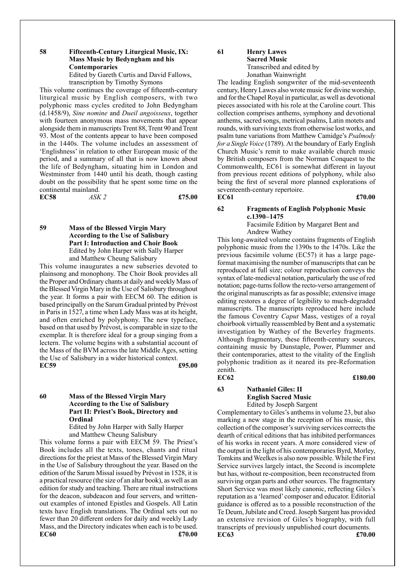#### **58 Fifteenth-Century Liturgical Music, IX: Mass Music by Bedyngham and his Contemporaries**

Edited by Gareth Curtis and David Fallows, transcription by Timothy Symons

This volume continues the coverage of fifteenth-century liturgical music by English composers, with two polyphonic mass cycles credited to John Bedyngham (d.1458/9), *Sine nomine* and *Dueil angoisseux*, together with fourteen anonymous mass movements that appear alongside them in manuscripts Trent 88, Trent 90 and Trent 93. Most of the contents appear to have been composed in the 1440s. The volume includes an assessment of 'Englishness' in relation to other European music of the period, and a summary of all that is now known about the life of Bedyngham, situating him in London and Westminster from 1440 until his death, though casting doubt on the possibility that he spent some time on the continental mainland.

**EC58** *ASK 2* **£75.00**

#### **59 Mass of the Blessed Virgin Mary According to the Use of Salisbury Part I: Introduction and Choir Book** Edited by John Harper with Sally Harper and Matthew Cheung Salisbury

This volume inaugurates a new subseries devoted to plainsong and monophony. The Choir Book provides all the Proper and Ordinary chants at daily and weekly Mass of the Blessed Virgin Mary in the Use of Salisbury throughout the year. It forms a pair with EECM 60. The edition is based principally on the Sarum Gradual printed by Prévost in Paris in 1527, a time when Lady Mass was at its height, and often enriched by polyphony. The new typeface, based on that used by Prévost, is comparable in size to the exemplar. It is therefore ideal for a group singing from a lectern. The volume begins with a substantial account of the Mass of the BVM across the late Middle Ages, setting the Use of Salisbury in a wider historical context. **EC59 £95.00**

#### **60 Mass of the Blessed Virgin Mary According to the Use of Salisbury Part II: Priest's Book, Directory and Ordinal**

Edited by John Harper with Sally Harper and Matthew Cheung Salisbury

This volume forms a pair with EECM 59. The Priest's Book includes all the texts, tones, chants and ritual directions for the priest at Mass of the Blessed Virgin Mary in the Use of Salisbury throughout the year. Based on the edition of the Sarum Missal issued by Prévost in 1528, it is a practical resource (the size of an altar book), as well as an edition for study and teaching. There are ritual instructions for the deacon, subdeacon and four servers, and writtenout examples of intoned Epistles and Gospels. All Latin texts have English translations. The Ordinal sets out no fewer than 20 different orders for daily and weekly Lady Mass, and the Directory indicates when each is to be used. **EC60 £70.00**

## **61 Henry Lawes**

#### **Sacred Music** Transcribed and edited by Jonathan Wainwright

The leading English songwriter of the mid-seventeenth century, Henry Lawes also wrote music for divine worship, and for the Chapel Royal in particular, as well as devotional pieces associated with his role at the Caroline court. This collection comprises anthems, symphony and devotional anthems, sacred songs, metrical psalms, Latin motets and rounds, with surviving texts from otherwise lost works, and psalm tune variations from Matthew Camidge's *Psalmody for a Single Voice* (1789). At the boundary of Early English Church Music's remit to make available church music by British composers from the Norman Conquest to the Commonwealth, EC61 is somewhat different in layout from previous recent editions of polyphony, while also being the first of several more planned explorations of seventeenth-century repertoire. **EC61 £70.00**

### **62 Fragments of English Polyphonic Music c.1390–1475**

Facsimile Edition by Margaret Bent and Andrew Wathey

This long-awaited volume contains fragments of English polyphonic music from the 1390s to the 1470s. Like the previous facsimile volume (EC57) it has a large pageformat maximising the number of manuscripts that can be reproduced at full size; colour reproduction conveys the syntax of late-medieval notation, particularly the use of red notation; page-turns follow the recto-verso arrangement of the original manuscripts as far as possible; extensive image editing restores a degree of legibility to much-degraded manuscripts. The manuscripts reproduced here include the famous Coventry *Caput* Mass, vestiges of a royal choirbook virtually reassembled by Bent and a systematic investigation by Wathey of the Beverley fragments. Although fragmentary, these fifteenth-century sources, containing music by Dunstaple, Power, Plummer and their contemporaries, attest to the vitality of the English polyphonic tradition as it neared its pre-Reformation zenith.<br>EC62 **EC62 £180.00**

#### **63 Nathaniel Giles: II English Sacred Music**

Edited by Joseph Sargent

Complementary to Giles's anthems in volume 23, but also marking a new stage in the reception of his music, this collection of the composer's surviving services corrects the dearth of critical editions that has inhibited performances of his works in recent years. A more considered view of the output in the light of his contemporaries Byrd, Morley, Tomkins and Weelkes is also now possible. While the First Service survives largely intact, the Second is incomplete but has, without re-composition, been reconstructed from surviving organ parts and other sources. The fragmentary Short Service was most likely canonic, reflecting Giles's reputation as a 'learned' composer and educator. Editorial guidance is offered as to a possible reconstruction of the Te Deum, Jubilate and Creed. Joseph Sargent has provided an extensive revision of Giles's biography, with full transcripts of previously unpublished court documents. **EC63 £70.00**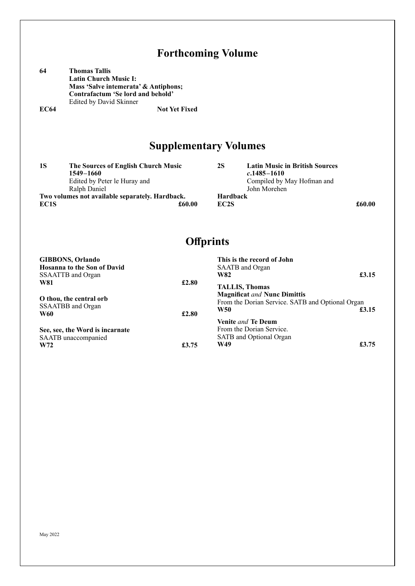|             | <b>Forthcoming Volume</b>                                                                                                                                    |                                      |                                                                                                        |        |
|-------------|--------------------------------------------------------------------------------------------------------------------------------------------------------------|--------------------------------------|--------------------------------------------------------------------------------------------------------|--------|
| 64          | <b>Thomas Tallis</b><br><b>Latin Church Music I:</b><br>Mass 'Salve intemerata' & Antiphons;<br>Contrafactum 'Se lord and behold'<br>Edited by David Skinner |                                      |                                                                                                        |        |
| <b>EC64</b> | <b>Not Yet Fixed</b>                                                                                                                                         |                                      |                                                                                                        |        |
|             | <b>Supplementary Volumes</b>                                                                                                                                 |                                      |                                                                                                        |        |
| <b>1S</b>   | The Sources of English Church Music<br>1549-1660<br>Edited by Peter le Huray and<br>Ralph Daniel                                                             | <b>2S</b>                            | <b>Latin Music in British Sources</b><br>$c.1485 - 1610$<br>Compiled by May Hofman and<br>John Morehen |        |
| EC1S        | Two volumes not available separately. Hardback.<br>£60.00                                                                                                    | <b>Hardback</b><br>EC <sub>2</sub> S |                                                                                                        | £60.00 |
|             |                                                                                                                                                              | <b>Offprints</b>                     |                                                                                                        |        |
| <b>W81</b>  | <b>GIBBONS</b> , Orlando<br><b>Hosanna to the Son of David</b><br>SSAATTB and Organ<br>£2.80                                                                 | <b>W82</b>                           | This is the record of John<br>SAATB and Organ<br><b>TALLIS, Thomas</b>                                 | £3.15  |

**Magnificat** *and* **Nunc Dimittis** From the Dorian Service. SATB and Optional Organ **W50 <b>£3.15 Venite** *and* **Te Deum** From the Dorian Service. SATB and Optional Organ **W49 £3.75 O thou, the central orb** SSAATBB and Organ **W60 £2.80 See, see, the Word is incarnate** SAATB unaccompanied

**W72 £3.75** 

#### May 2022